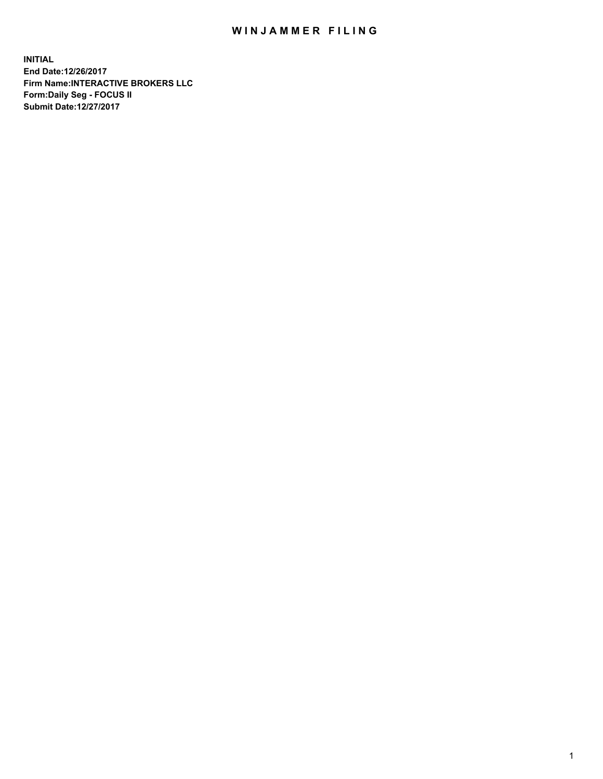## WIN JAMMER FILING

**INITIAL End Date:12/26/2017 Firm Name:INTERACTIVE BROKERS LLC Form:Daily Seg - FOCUS II Submit Date:12/27/2017**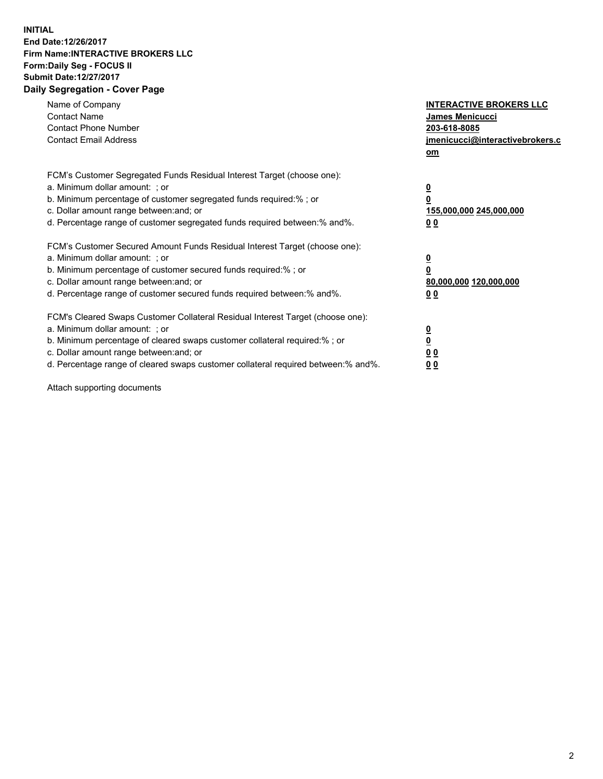## **INITIAL End Date:12/26/2017 Firm Name:INTERACTIVE BROKERS LLC Form:Daily Seg - FOCUS II Submit Date:12/27/2017 Daily Segregation - Cover Page**

| Name of Company<br><b>Contact Name</b><br><b>Contact Phone Number</b><br><b>Contact Email Address</b>                                                                                                                                                                                                                          | <b>INTERACTIVE BROKERS LLC</b><br><b>James Menicucci</b><br>203-618-8085<br>jmenicucci@interactivebrokers.c<br>om |
|--------------------------------------------------------------------------------------------------------------------------------------------------------------------------------------------------------------------------------------------------------------------------------------------------------------------------------|-------------------------------------------------------------------------------------------------------------------|
| FCM's Customer Segregated Funds Residual Interest Target (choose one):<br>a. Minimum dollar amount: ; or<br>b. Minimum percentage of customer segregated funds required:%; or<br>c. Dollar amount range between: and; or<br>d. Percentage range of customer segregated funds required between:% and%.                          | $\overline{\mathbf{0}}$<br>0<br>155,000,000 245,000,000<br>00                                                     |
| FCM's Customer Secured Amount Funds Residual Interest Target (choose one):<br>a. Minimum dollar amount: ; or<br>b. Minimum percentage of customer secured funds required:%; or<br>c. Dollar amount range between: and; or<br>d. Percentage range of customer secured funds required between: % and %.                          | $\overline{\mathbf{0}}$<br>0<br>80,000,000 120,000,000<br>0 <sub>0</sub>                                          |
| FCM's Cleared Swaps Customer Collateral Residual Interest Target (choose one):<br>a. Minimum dollar amount: ; or<br>b. Minimum percentage of cleared swaps customer collateral required:% ; or<br>c. Dollar amount range between: and; or<br>d. Percentage range of cleared swaps customer collateral required between:% and%. | $\overline{\mathbf{0}}$<br>$\overline{\mathbf{0}}$<br>0 <sub>0</sub><br><u>00</u>                                 |

Attach supporting documents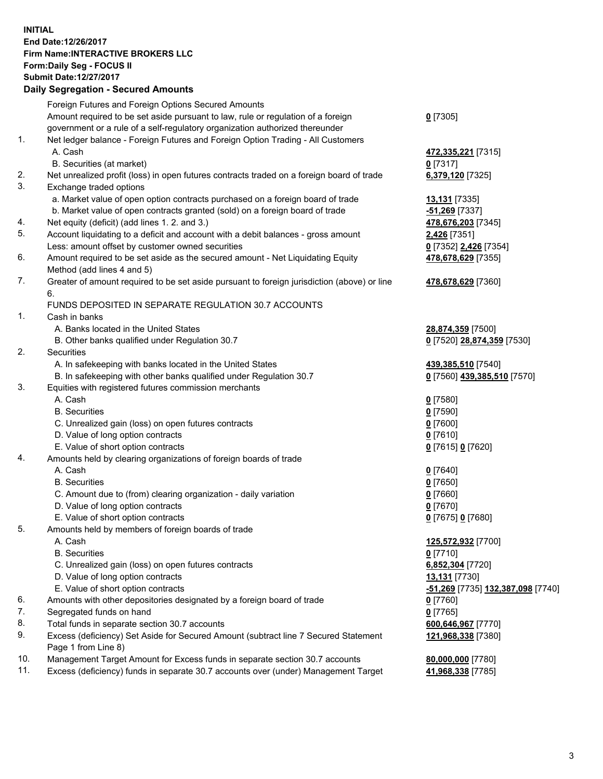## **INITIAL End Date:12/26/2017 Firm Name:INTERACTIVE BROKERS LLC Form:Daily Seg - FOCUS II Submit Date:12/27/2017**<br>**Daily Segregation - Secured Amounts Daily Segregation - Secure**

|     | Daily Segregation - Secured Amounts                                                         |                                   |
|-----|---------------------------------------------------------------------------------------------|-----------------------------------|
|     | Foreign Futures and Foreign Options Secured Amounts                                         |                                   |
|     | Amount required to be set aside pursuant to law, rule or regulation of a foreign            | $0$ [7305]                        |
|     | government or a rule of a self-regulatory organization authorized thereunder                |                                   |
| 1.  | Net ledger balance - Foreign Futures and Foreign Option Trading - All Customers             |                                   |
|     | A. Cash                                                                                     | 472,335,221 [7315]                |
|     | B. Securities (at market)                                                                   | $0$ [7317]                        |
| 2.  | Net unrealized profit (loss) in open futures contracts traded on a foreign board of trade   | 6,379,120 [7325]                  |
| 3.  | Exchange traded options                                                                     |                                   |
|     | a. Market value of open option contracts purchased on a foreign board of trade              |                                   |
|     |                                                                                             | 13,131 [7335]                     |
|     | b. Market value of open contracts granted (sold) on a foreign board of trade                | -51,269 [7337]                    |
| 4.  | Net equity (deficit) (add lines 1.2. and 3.)                                                | 478,676,203 [7345]                |
| 5.  | Account liquidating to a deficit and account with a debit balances - gross amount           | 2,426 [7351]                      |
|     | Less: amount offset by customer owned securities                                            | 0 [7352] 2,426 [7354]             |
| 6.  | Amount required to be set aside as the secured amount - Net Liquidating Equity              | 478,678,629 [7355]                |
|     | Method (add lines 4 and 5)                                                                  |                                   |
| 7.  | Greater of amount required to be set aside pursuant to foreign jurisdiction (above) or line | 478,678,629 [7360]                |
|     | 6.                                                                                          |                                   |
|     | FUNDS DEPOSITED IN SEPARATE REGULATION 30.7 ACCOUNTS                                        |                                   |
| 1.  | Cash in banks                                                                               |                                   |
|     | A. Banks located in the United States                                                       | 28,874,359 [7500]                 |
|     | B. Other banks qualified under Regulation 30.7                                              | 0 [7520] 28,874,359 [7530]        |
| 2.  | Securities                                                                                  |                                   |
|     | A. In safekeeping with banks located in the United States                                   | 439,385,510 [7540]                |
|     | B. In safekeeping with other banks qualified under Regulation 30.7                          | 0 [7560] 439,385,510 [7570]       |
| 3.  | Equities with registered futures commission merchants                                       |                                   |
|     | A. Cash                                                                                     | $0$ [7580]                        |
|     | <b>B.</b> Securities                                                                        | $0$ [7590]                        |
|     | C. Unrealized gain (loss) on open futures contracts                                         | $0$ [7600]                        |
|     | D. Value of long option contracts                                                           | $0$ [7610]                        |
|     | E. Value of short option contracts                                                          | 0 [7615] 0 [7620]                 |
| 4.  | Amounts held by clearing organizations of foreign boards of trade                           |                                   |
|     | A. Cash                                                                                     | $0$ [7640]                        |
|     | <b>B.</b> Securities                                                                        |                                   |
|     |                                                                                             | $0$ [7650]                        |
|     | C. Amount due to (from) clearing organization - daily variation                             | $0$ [7660]                        |
|     | D. Value of long option contracts                                                           | $0$ [7670]                        |
|     | E. Value of short option contracts                                                          | 0 [7675] 0 [7680]                 |
| 5.  | Amounts held by members of foreign boards of trade                                          |                                   |
|     | A. Cash                                                                                     | 125,572,932 [7700]                |
|     | <b>B.</b> Securities                                                                        | $0$ [7710]                        |
|     | C. Unrealized gain (loss) on open futures contracts                                         | 6,852,304 [7720]                  |
|     | D. Value of long option contracts                                                           | 13,131 [7730]                     |
|     | E. Value of short option contracts                                                          | -51,269 [7735] 132,387,098 [7740] |
| 6.  | Amounts with other depositories designated by a foreign board of trade                      | $0$ [7760]                        |
| 7.  | Segregated funds on hand                                                                    | $0$ [7765]                        |
| 8.  | Total funds in separate section 30.7 accounts                                               | 600,646,967 [7770]                |
| 9.  | Excess (deficiency) Set Aside for Secured Amount (subtract line 7 Secured Statement         | 121,968,338 [7380]                |
|     | Page 1 from Line 8)                                                                         |                                   |
| 10. | Management Target Amount for Excess funds in separate section 30.7 accounts                 | 80,000,000 [7780]                 |
| 11. | Excess (deficiency) funds in separate 30.7 accounts over (under) Management Target          | 41,968,338 [7785]                 |
|     |                                                                                             |                                   |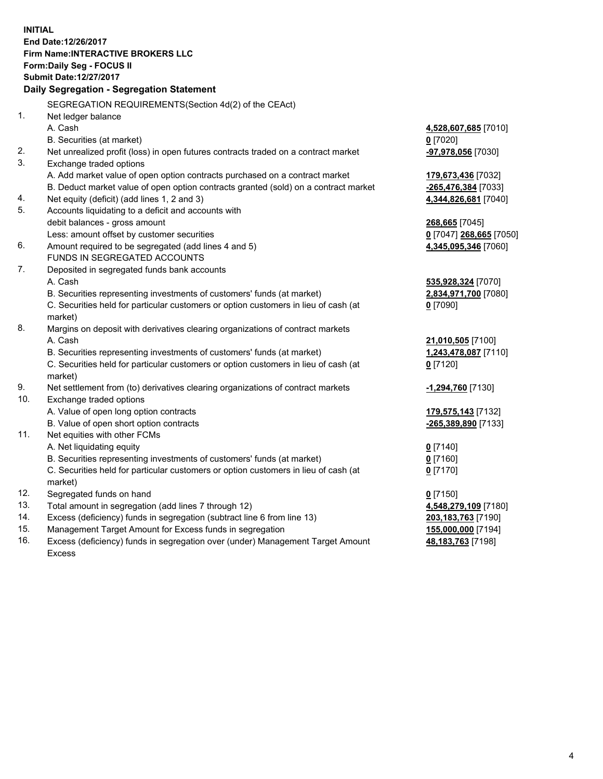**INITIAL End Date:12/26/2017 Firm Name:INTERACTIVE BROKERS LLC Form:Daily Seg - FOCUS II Submit Date:12/27/2017 Daily Segregation - Segregation Statement** SEGREGATION REQUIREMENTS(Section 4d(2) of the CEAct) 1. Net ledger balance A. Cash **4,528,607,685** [7010] B. Securities (at market) **0** [7020] 2. Net unrealized profit (loss) in open futures contracts traded on a contract market **-97,978,056** [7030] 3. Exchange traded options A. Add market value of open option contracts purchased on a contract market **179,673,436** [7032] B. Deduct market value of open option contracts granted (sold) on a contract market **-265,476,384** [7033] 4. Net equity (deficit) (add lines 1, 2 and 3) **4,344,826,681** [7040] 5. Accounts liquidating to a deficit and accounts with debit balances - gross amount **268,665** [7045] Less: amount offset by customer securities **0** [7047] **268,665** [7050] 6. Amount required to be segregated (add lines 4 and 5) **4,345,095,346** [7060] FUNDS IN SEGREGATED ACCOUNTS 7. Deposited in segregated funds bank accounts A. Cash **535,928,324** [7070] B. Securities representing investments of customers' funds (at market) **2,834,971,700** [7080] C. Securities held for particular customers or option customers in lieu of cash (at market) **0** [7090] 8. Margins on deposit with derivatives clearing organizations of contract markets A. Cash **21,010,505** [7100] B. Securities representing investments of customers' funds (at market) **1,243,478,087** [7110] C. Securities held for particular customers or option customers in lieu of cash (at market) **0** [7120] 9. Net settlement from (to) derivatives clearing organizations of contract markets **-1,294,760** [7130] 10. Exchange traded options A. Value of open long option contracts **179,575,143** [7132] B. Value of open short option contracts **-265,389,890** [7133] 11. Net equities with other FCMs A. Net liquidating equity **0** [7140] B. Securities representing investments of customers' funds (at market) **0** [7160] C. Securities held for particular customers or option customers in lieu of cash (at market) **0** [7170] 12. Segregated funds on hand **0** [7150] 13. Total amount in segregation (add lines 7 through 12) **4,548,279,109** [7180] 14. Excess (deficiency) funds in segregation (subtract line 6 from line 13) **203,183,763** [7190] 15. Management Target Amount for Excess funds in segregation **155,000,000** [7194]

16. Excess (deficiency) funds in segregation over (under) Management Target Amount Excess

**48,183,763** [7198]